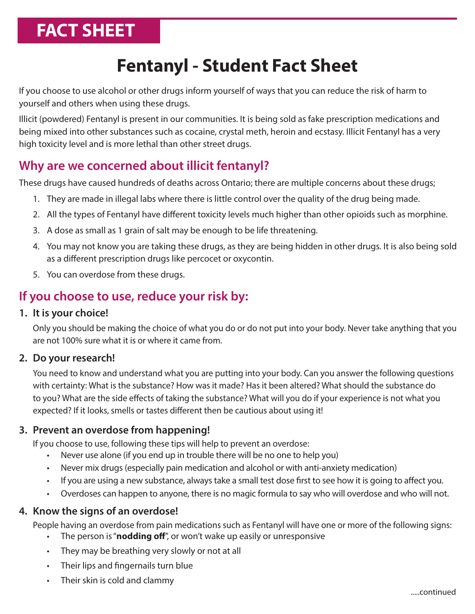# **FACT SHEET**

## **Fentanyl - Student Fact Sheet**

If you choose to use alcohol or other drugs inform yourself of ways that you can reduce the risk of harm to yourself and others when using these drugs.

Illicit (powdered) Fentanyl is present in our communities. It is being sold as fake prescription medications and being mixed into other substances such as cocaine, crystal meth, heroin and ecstasy. Illicit Fentanyl has a very high toxicity level and is more lethal than other street drugs.

### **Why are we concerned about illicit fentanyl?**

These drugs have caused hundreds of deaths across Ontario; there are multiple concerns about these drugs;

- 1. They are made in illegal labs where there is little control over the quality of the drug being made.
- 2. All the types of Fentanyl have different toxicity levels much higher than other opioids such as morphine.
- 3. A dose as small as 1 grain of salt may be enough to be life threatening.
- 4. You may not know you are taking these drugs, as they are being hidden in other drugs. It is also being sold as a different prescription drugs like percocet or oxycontin.
- 5. You can overdose from these drugs.

## **If you choose to use, reduce your risk by:**

#### **1. It is your choice!**

Only you should be making the choice of what you do or do not put into your body. Never take anything that you are not 100% sure what it is or where it came from.

#### **2. Do your research!**

You need to know and understand what you are putting into your body. Can you answer the following questions with certainty: What is the substance? How was it made? Has it been altered? What should the substance do to you? What are the side effects of taking the substance? What will you do if your experience is not what you expected? If it looks, smells or tastes different then be cautious about using it!

#### **3. Prevent an overdose from happening!**

If you choose to use, following these tips will help to prevent an overdose:

- Never use alone (if you end up in trouble there will be no one to help you)
- Never mix drugs (especially pain medication and alcohol or with anti-anxiety medication)
- If you are using a new substance, always take a small test dose first to see how it is going to affect you.
- Overdoses can happen to anyone, there is no magic formula to say who will overdose and who will not.

#### **4. Know the signs of an overdose!**

People having an overdose from pain medications such as Fentanyl will have one or more of the following signs:

- The person is "**nodding off**", or won't wake up easily or unresponsive
- They may be breathing very slowly or not at all
- Their lips and fingernails turn blue
- Their skin is cold and clammy